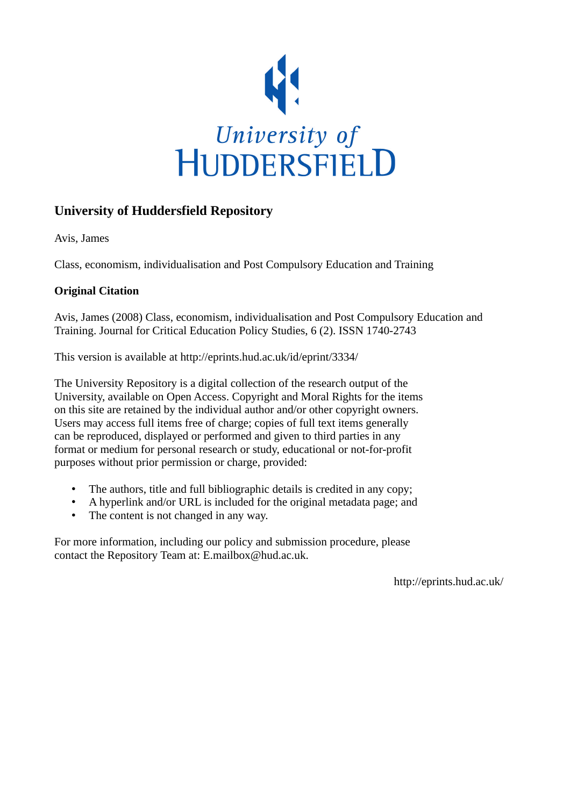

# **University of Huddersfield Repository**

Avis, James

Class, economism, individualisation and Post Compulsory Education and Training

# **Original Citation**

Avis, James (2008) Class, economism, individualisation and Post Compulsory Education and Training. Journal for Critical Education Policy Studies, 6 (2). ISSN 1740-2743

This version is available at http://eprints.hud.ac.uk/id/eprint/3334/

The University Repository is a digital collection of the research output of the University, available on Open Access. Copyright and Moral Rights for the items on this site are retained by the individual author and/or other copyright owners. Users may access full items free of charge; copies of full text items generally can be reproduced, displayed or performed and given to third parties in any format or medium for personal research or study, educational or not-for-profit purposes without prior permission or charge, provided:

- The authors, title and full bibliographic details is credited in any copy;
- A hyperlink and/or URL is included for the original metadata page; and
- The content is not changed in any way.

For more information, including our policy and submission procedure, please contact the Repository Team at: E.mailbox@hud.ac.uk.

http://eprints.hud.ac.uk/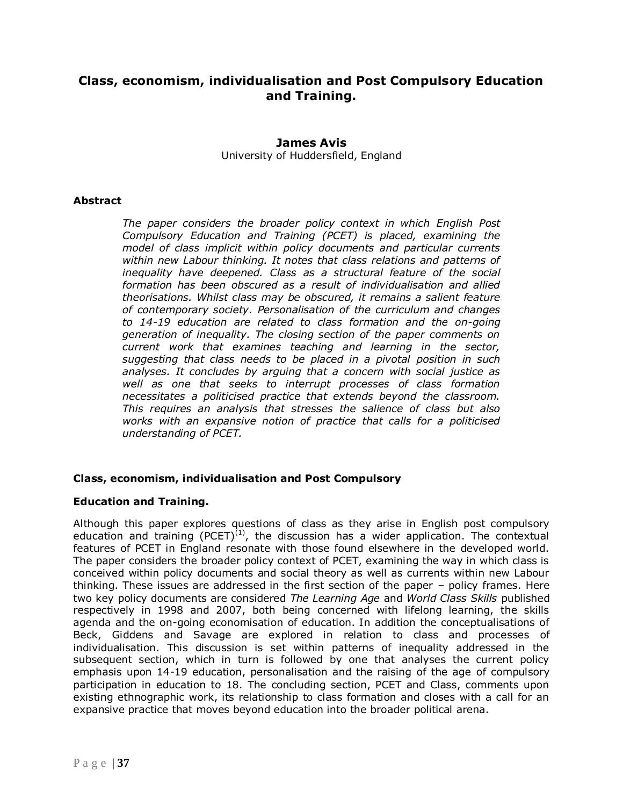# **Class, economism, individualisation and Post Compulsory Education and Training.**

# **James Avis** University of Huddersfield, England

## **Abstract**

*The paper considers the broader policy context in which English Post Compulsory Education and Training (PCET) is placed, examining the model of class implicit within policy documents and particular currents*  within new Labour thinking. It notes that class relations and patterns of *inequality have deepened. Class as a structural feature of the social formation has been obscured as a result of individualisation and allied theorisations. Whilst class may be obscured, it remains a salient feature of contemporary society. Personalisation of the curriculum and changes to 14-19 education are related to class formation and the on-going generation of inequality. The closing section of the paper comments on current work that examines teaching and learning in the sector, suggesting that class needs to be placed in a pivotal position in such analyses. It concludes by arguing that a concern with social justice as well as one that seeks to interrupt processes of class formation necessitates a politicised practice that extends beyond the classroom. This requires an analysis that stresses the salience of class but also works with an expansive notion of practice that calls for a politicised understanding of PCET.*

# **Class, economism, individualisation and Post Compulsory**

# **Education and Training.**

Although this paper explores questions of class as they arise in English post compulsory education and training (PCET)<sup>(1)</sup>, the discussion has a wider application. The contextual features of PCET in England resonate with those found elsewhere in the developed world. The paper considers the broader policy context of PCET, examining the way in which class is conceived within policy documents and social theory as well as currents within new Labour thinking. These issues are addressed in the first section of the paper – policy frames. Here two key policy documents are considered *The Learning Age* and *World Class Skills* published respectively in 1998 and 2007, both being concerned with lifelong learning, the skills agenda and the on-going economisation of education. In addition the conceptualisations of Beck, Giddens and Savage are explored in relation to class and processes of individualisation. This discussion is set within patterns of inequality addressed in the subsequent section, which in turn is followed by one that analyses the current policy emphasis upon 14-19 education, personalisation and the raising of the age of compulsory participation in education to 18. The concluding section, PCET and Class, comments upon existing ethnographic work, its relationship to class formation and closes with a call for an expansive practice that moves beyond education into the broader political arena.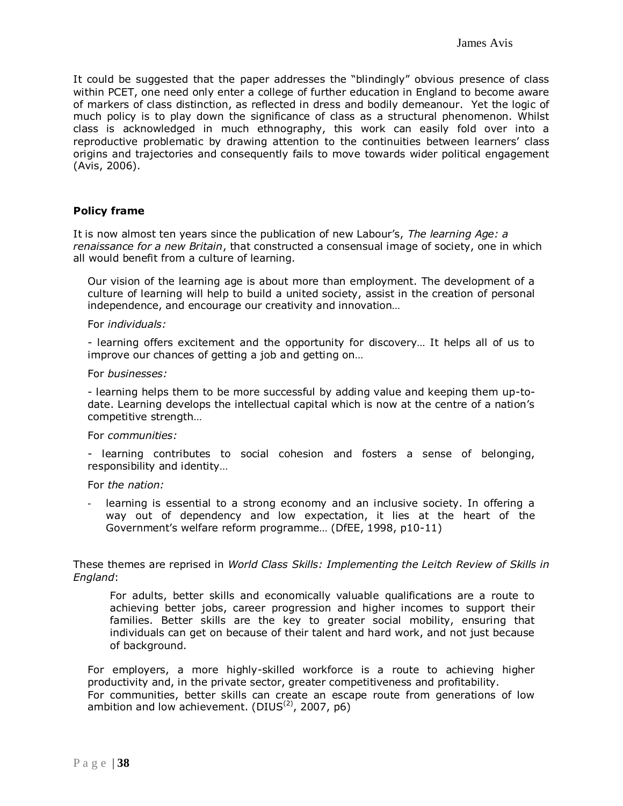It could be suggested that the paper addresses the "blindingly" obvious presence of class within PCET, one need only enter a college of further education in England to become aware of markers of class distinction, as reflected in dress and bodily demeanour. Yet the logic of much policy is to play down the significance of class as a structural phenomenon. Whilst class is acknowledged in much ethnography, this work can easily fold over into a reproductive problematic by drawing attention to the continuities between learners" class origins and trajectories and consequently fails to move towards wider political engagement (Avis, 2006).

### **Policy frame**

It is now almost ten years since the publication of new Labour"s, *The learning Age: a renaissance for a new Britain*, that constructed a consensual image of society, one in which all would benefit from a culture of learning.

Our vision of the learning age is about more than employment. The development of a culture of learning will help to build a united society, assist in the creation of personal independence, and encourage our creativity and innovation…

#### For *individuals:*

- learning offers excitement and the opportunity for discovery… It helps all of us to improve our chances of getting a job and getting on…

#### For *businesses:*

- learning helps them to be more successful by adding value and keeping them up-todate. Learning develops the intellectual capital which is now at the centre of a nation"s competitive strength…

#### For *communities:*

- learning contributes to social cohesion and fosters a sense of belonging, responsibility and identity…

### For *the nation:*

learning is essential to a strong economy and an inclusive society. In offering a way out of dependency and low expectation, it lies at the heart of the Government"s welfare reform programme… (DfEE, 1998, p10-11)

These themes are reprised in *World Class Skills: Implementing the Leitch Review of Skills in England*:

For adults, better skills and economically valuable qualifications are a route to achieving better jobs, career progression and higher incomes to support their families. Better skills are the key to greater social mobility, ensuring that individuals can get on because of their talent and hard work, and not just because of background.

For employers, a more highly-skilled workforce is a route to achieving higher productivity and, in the private sector, greater competitiveness and profitability. For communities, better skills can create an escape route from generations of low ambition and low achievement.  $(DIUS<sup>(2)</sup>, 2007, p6)$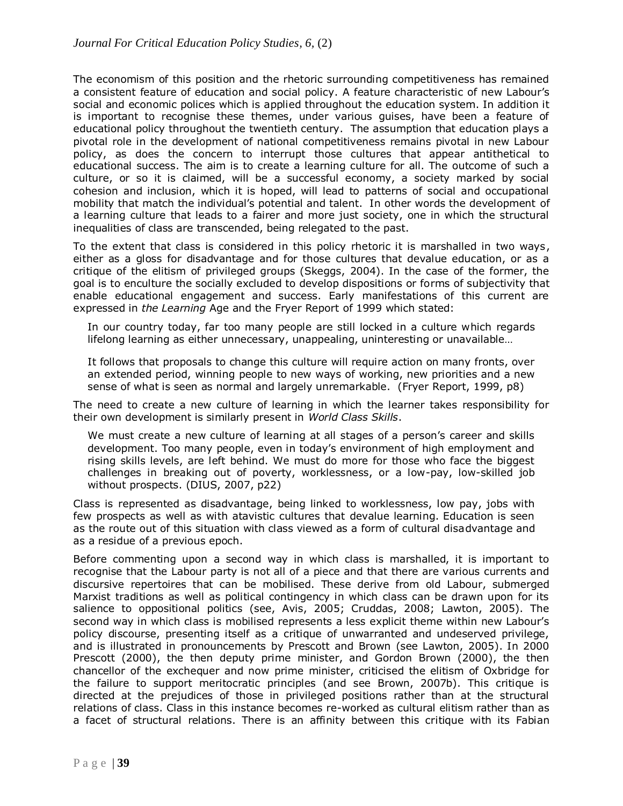The economism of this position and the rhetoric surrounding competitiveness has remained a consistent feature of education and social policy. A feature characteristic of new Labour"s social and economic polices which is applied throughout the education system. In addition it is important to recognise these themes, under various guises, have been a feature of educational policy throughout the twentieth century. The assumption that education plays a pivotal role in the development of national competitiveness remains pivotal in new Labour policy, as does the concern to interrupt those cultures that appear antithetical to educational success. The aim is to create a learning culture for all. The outcome of such a culture, or so it is claimed, will be a successful economy, a society marked by social cohesion and inclusion, which it is hoped, will lead to patterns of social and occupational mobility that match the individual"s potential and talent. In other words the development of a learning culture that leads to a fairer and more just society, one in which the structural inequalities of class are transcended, being relegated to the past.

To the extent that class is considered in this policy rhetoric it is marshalled in two ways, either as a gloss for disadvantage and for those cultures that devalue education, or as a critique of the elitism of privileged groups (Skeggs, 2004). In the case of the former, the goal is to enculture the socially excluded to develop dispositions or forms of subjectivity that enable educational engagement and success. Early manifestations of this current are expressed in *the Learning* Age and the Fryer Report of 1999 which stated:

In our country today, far too many people are still locked in a culture which regards lifelong learning as either unnecessary, unappealing, uninteresting or unavailable…

It follows that proposals to change this culture will require action on many fronts, over an extended period, winning people to new ways of working, new priorities and a new sense of what is seen as normal and largely unremarkable. (Fryer Report, 1999, p8)

The need to create a new culture of learning in which the learner takes responsibility for their own development is similarly present in *World Class Skills*.

We must create a new culture of learning at all stages of a person's career and skills development. Too many people, even in today"s environment of high employment and rising skills levels, are left behind. We must do more for those who face the biggest challenges in breaking out of poverty, worklessness, or a low-pay, low-skilled job without prospects. (DIUS, 2007, p22)

Class is represented as disadvantage, being linked to worklessness, low pay, jobs with few prospects as well as with atavistic cultures that devalue learning. Education is seen as the route out of this situation with class viewed as a form of cultural disadvantage and as a residue of a previous epoch.

Before commenting upon a second way in which class is marshalled, it is important to recognise that the Labour party is not all of a piece and that there are various currents and discursive repertoires that can be mobilised. These derive from old Labour, submerged Marxist traditions as well as political contingency in which class can be drawn upon for its salience to oppositional politics (see, Avis, 2005; Cruddas, 2008; Lawton, 2005). The second way in which class is mobilised represents a less explicit theme within new Labour's policy discourse, presenting itself as a critique of unwarranted and undeserved privilege, and is illustrated in pronouncements by Prescott and Brown (see Lawton, 2005). In 2000 Prescott (2000), the then deputy prime minister, and Gordon Brown (2000), the then chancellor of the exchequer and now prime minister, criticised the elitism of Oxbridge for the failure to support meritocratic principles (and see Brown, 2007b). This critique is directed at the prejudices of those in privileged positions rather than at the structural relations of class. Class in this instance becomes re-worked as cultural elitism rather than as a facet of structural relations. There is an affinity between this critique with its Fabian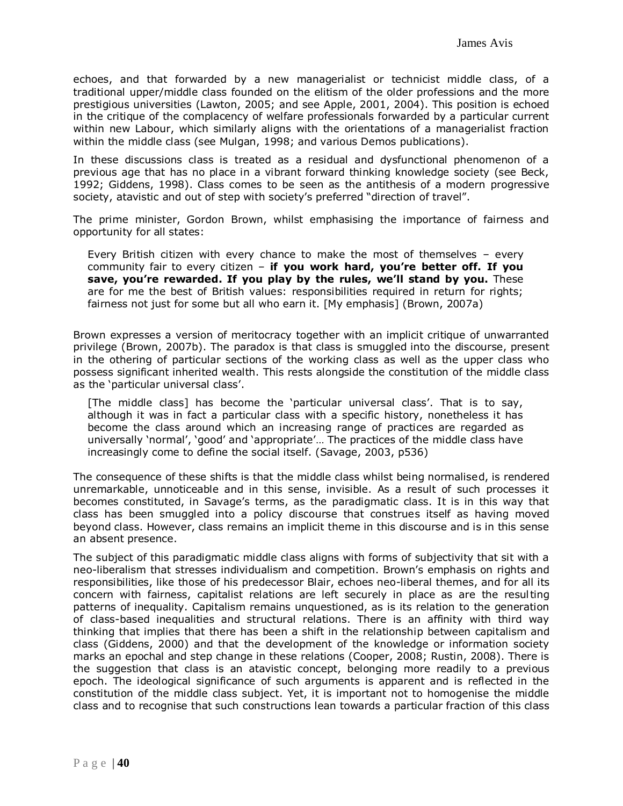echoes, and that forwarded by a new managerialist or technicist middle class, of a traditional upper/middle class founded on the elitism of the older professions and the more prestigious universities (Lawton, 2005; and see Apple, 2001, 2004). This position is echoed in the critique of the complacency of welfare professionals forwarded by a particular current within new Labour, which similarly aligns with the orientations of a managerialist fraction within the middle class (see Mulgan, 1998; and various Demos publications).

In these discussions class is treated as a residual and dysfunctional phenomenon of a previous age that has no place in a vibrant forward thinking knowledge society (see Beck, 1992; Giddens, 1998). Class comes to be seen as the antithesis of a modern progressive society, atavistic and out of step with society's preferred "direction of travel".

The prime minister, Gordon Brown, whilst emphasising the importance of fairness and opportunity for all states:

Every British citizen with every chance to make the most of themselves – every community fair to every citizen – **if you work hard, you're better off. If you save, you're rewarded. If you play by the rules, we'll stand by you.** These are for me the best of British values: responsibilities required in return for rights; fairness not just for some but all who earn it. [My emphasis] (Brown, 2007a)

Brown expresses a version of meritocracy together with an implicit critique of unwarranted privilege (Brown, 2007b). The paradox is that class is smuggled into the discourse, present in the othering of particular sections of the working class as well as the upper class who possess significant inherited wealth. This rests alongside the constitution of the middle class as the 'particular universal class'.

[The middle class] has become the 'particular universal class'. That is to say, although it was in fact a particular class with a specific history, nonetheless it has become the class around which an increasing range of practices are regarded as universally 'normal', 'good' and 'appropriate'... The practices of the middle class have increasingly come to define the social itself. (Savage, 2003, p536)

The consequence of these shifts is that the middle class whilst being normalised, is rendered unremarkable, unnoticeable and in this sense, invisible. As a result of such processes it becomes constituted, in Savage's terms, as the paradigmatic class. It is in this way that class has been smuggled into a policy discourse that construes itself as having moved beyond class. However, class remains an implicit theme in this discourse and is in this sense an absent presence.

The subject of this paradigmatic middle class aligns with forms of subjectivity that sit with a neo-liberalism that stresses individualism and competition. Brown"s emphasis on rights and responsibilities, like those of his predecessor Blair, echoes neo-liberal themes, and for all its concern with fairness, capitalist relations are left securely in place as are the resulting patterns of inequality. Capitalism remains unquestioned, as is its relation to the generation of class-based inequalities and structural relations. There is an affinity with third way thinking that implies that there has been a shift in the relationship between capitalism and class (Giddens, 2000) and that the development of the knowledge or information society marks an epochal and step change in these relations (Cooper, 2008; Rustin, 2008). There is the suggestion that class is an atavistic concept, belonging more readily to a previous epoch. The ideological significance of such arguments is apparent and is reflected in the constitution of the middle class subject. Yet, it is important not to homogenise the middle class and to recognise that such constructions lean towards a particular fraction of this class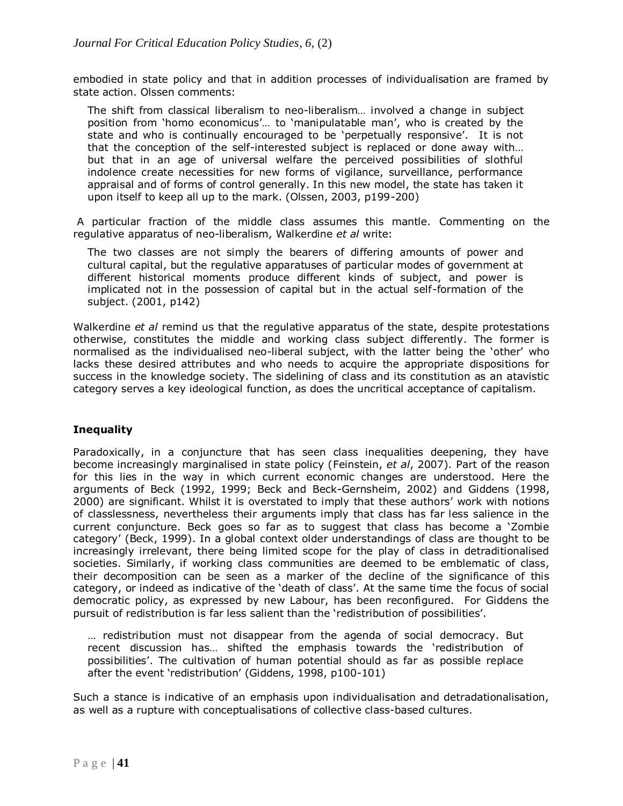embodied in state policy and that in addition processes of individualisation are framed by state action. Olssen comments:

The shift from classical liberalism to neo-liberalism… involved a change in subject position from "homo economicus"… to "manipulatable man", who is created by the state and who is continually encouraged to be 'perpetually responsive'. It is not that the conception of the self-interested subject is replaced or done away with… but that in an age of universal welfare the perceived possibilities of slothful indolence create necessities for new forms of vigilance, surveillance, performance appraisal and of forms of control generally. In this new model, the state has taken it upon itself to keep all up to the mark. (Olssen, 2003, p199-200)

A particular fraction of the middle class assumes this mantle. Commenting on the regulative apparatus of neo-liberalism, Walkerdine *et al* write:

The two classes are not simply the bearers of differing amounts of power and cultural capital, but the regulative apparatuses of particular modes of government at different historical moments produce different kinds of subject, and power is implicated not in the possession of capital but in the actual self-formation of the subject. (2001, p142)

Walkerdine *et al* remind us that the regulative apparatus of the state, despite protestations otherwise, constitutes the middle and working class subject differently. The former is normalised as the individualised neo-liberal subject, with the latter being the "other" who lacks these desired attributes and who needs to acquire the appropriate dispositions for success in the knowledge society. The sidelining of class and its constitution as an atavistic category serves a key ideological function, as does the uncritical acceptance of capitalism.

# **Inequality**

Paradoxically, in a conjuncture that has seen class inequalities deepening, they have become increasingly marginalised in state policy (Feinstein, *et al*, 2007). Part of the reason for this lies in the way in which current economic changes are understood. Here the arguments of Beck (1992, 1999; Beck and Beck-Gernsheim, 2002) and Giddens (1998, 2000) are significant. Whilst it is overstated to imply that these authors" work with notions of classlessness, nevertheless their arguments imply that class has far less salience in the current conjuncture. Beck goes so far as to suggest that class has become a "Zombie category" (Beck, 1999). In a global context older understandings of class are thought to be increasingly irrelevant, there being limited scope for the play of class in detraditionalised societies. Similarly, if working class communities are deemed to be emblematic of class, their decomposition can be seen as a marker of the decline of the significance of this category, or indeed as indicative of the "death of class". At the same time the focus of social democratic policy, as expressed by new Labour, has been reconfigured. For Giddens the pursuit of redistribution is far less salient than the "redistribution of possibilities".

… redistribution must not disappear from the agenda of social democracy. But recent discussion has… shifted the emphasis towards the "redistribution of possibilities". The cultivation of human potential should as far as possible replace after the event "redistribution" (Giddens, 1998, p100-101)

Such a stance is indicative of an emphasis upon individualisation and detradationalisation, as well as a rupture with conceptualisations of collective class-based cultures.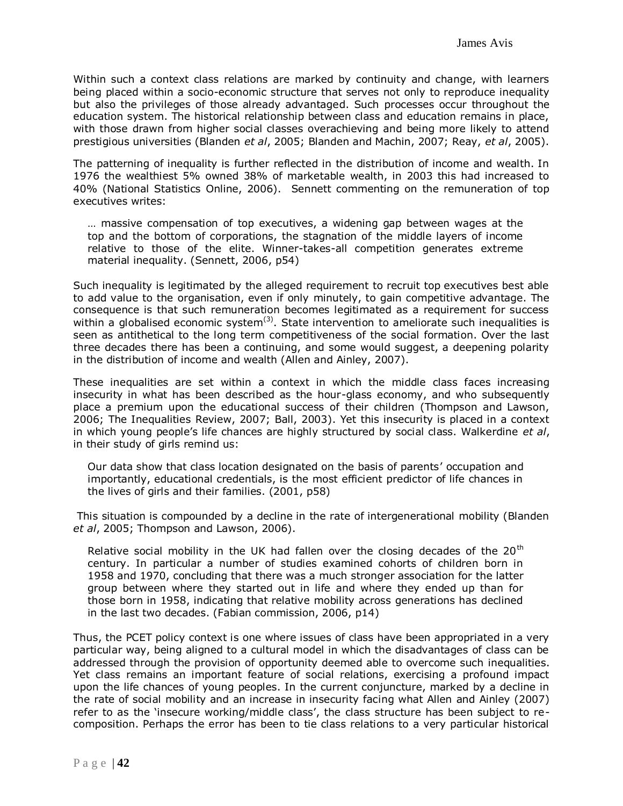Within such a context class relations are marked by continuity and change, with learners being placed within a socio-economic structure that serves not only to reproduce inequality but also the privileges of those already advantaged. Such processes occur throughout the education system. The historical relationship between class and education remains in place, with those drawn from higher social classes overachieving and being more likely to attend prestigious universities (Blanden *et al*, 2005; Blanden and Machin, 2007; Reay, *et al*, 2005).

The patterning of inequality is further reflected in the distribution of income and wealth. In 1976 the wealthiest 5% owned 38% of marketable wealth, in 2003 this had increased to 40% (National Statistics Online, 2006). Sennett commenting on the remuneration of top executives writes:

… massive compensation of top executives, a widening gap between wages at the top and the bottom of corporations, the stagnation of the middle layers of income relative to those of the elite. Winner-takes-all competition generates extreme material inequality. (Sennett, 2006, p54)

Such inequality is legitimated by the alleged requirement to recruit top executives best able to add value to the organisation, even if only minutely, to gain competitive advantage. The consequence is that such remuneration becomes legitimated as a requirement for success within a globalised economic system<sup>(3)</sup>. State intervention to ameliorate such inequalities is seen as antithetical to the long term competitiveness of the social formation. Over the last three decades there has been a continuing, and some would suggest, a deepening polarity in the distribution of income and wealth (Allen and Ainley, 2007).

These inequalities are set within a context in which the middle class faces increasing insecurity in what has been described as the hour-glass economy, and who subsequently place a premium upon the educational success of their children (Thompson and Lawson, 2006; The Inequalities Review, 2007; Ball, 2003). Yet this insecurity is placed in a context in which young people"s life chances are highly structured by social class. Walkerdine *et al*, in their study of girls remind us:

Our data show that class location designated on the basis of parents' occupation and importantly, educational credentials, is the most efficient predictor of life chances in the lives of girls and their families. (2001, p58)

This situation is compounded by a decline in the rate of intergenerational mobility (Blanden *et al*, 2005; Thompson and Lawson, 2006).

Relative social mobility in the UK had fallen over the closing decades of the  $20<sup>th</sup>$ century. In particular a number of studies examined cohorts of children born in 1958 and 1970, concluding that there was a much stronger association for the latter group between where they started out in life and where they ended up than for those born in 1958, indicating that relative mobility across generations has declined in the last two decades. (Fabian commission, 2006, p14)

Thus, the PCET policy context is one where issues of class have been appropriated in a very particular way, being aligned to a cultural model in which the disadvantages of class can be addressed through the provision of opportunity deemed able to overcome such inequalities. Yet class remains an important feature of social relations, exercising a profound impact upon the life chances of young peoples. In the current conjuncture, marked by a decline in the rate of social mobility and an increase in insecurity facing what Allen and Ainley (2007) refer to as the 'insecure working/middle class', the class structure has been subject to recomposition. Perhaps the error has been to tie class relations to a very particular historical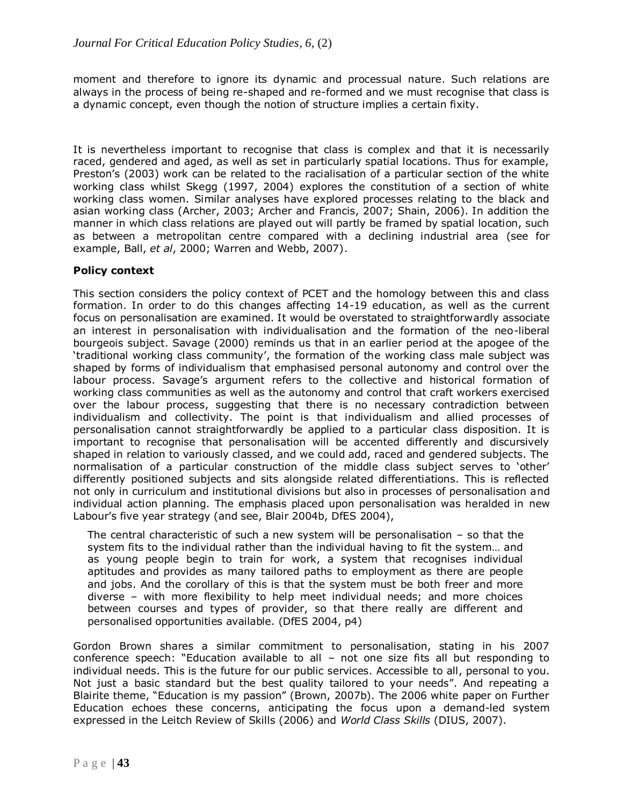moment and therefore to ignore its dynamic and processual nature. Such relations are always in the process of being re-shaped and re-formed and we must recognise that class is a dynamic concept, even though the notion of structure implies a certain fixity.

It is nevertheless important to recognise that class is complex and that it is necessarily raced, gendered and aged, as well as set in particularly spatial locations. Thus for example, Preston's (2003) work can be related to the racialisation of a particular section of the white working class whilst Skegg (1997, 2004) explores the constitution of a section of white working class women. Similar analyses have explored processes relating to the black and asian working class (Archer, 2003; Archer and Francis, 2007; Shain, 2006). In addition the manner in which class relations are played out will partly be framed by spatial location, such as between a metropolitan centre compared with a declining industrial area (see for example, Ball, *et al*, 2000; Warren and Webb, 2007).

# **Policy context**

This section considers the policy context of PCET and the homology between this and class formation. In order to do this changes affecting 14-19 education, as well as the current focus on personalisation are examined. It would be overstated to straightforwardly associate an interest in personalisation with individualisation and the formation of the neo-liberal bourgeois subject. Savage (2000) reminds us that in an earlier period at the apogee of the "traditional working class community", the formation of the working class male subject was shaped by forms of individualism that emphasised personal autonomy and control over the labour process. Savage's argument refers to the collective and historical formation of working class communities as well as the autonomy and control that craft workers exercised over the labour process, suggesting that there is no necessary contradiction between individualism and collectivity. The point is that individualism and allied processes of personalisation cannot straightforwardly be applied to a particular class disposition. It is important to recognise that personalisation will be accented differently and discursively shaped in relation to variously classed, and we could add, raced and gendered subjects. The normalisation of a particular construction of the middle class subject serves to "other" differently positioned subjects and sits alongside related differentiations. This is reflected not only in curriculum and institutional divisions but also in processes of personalisation and individual action planning. The emphasis placed upon personalisation was heralded in new Labour"s five year strategy (and see, Blair 2004b, DfES 2004),

The central characteristic of such a new system will be personalisation  $-$  so that the system fits to the individual rather than the individual having to fit the system… and as young people begin to train for work, a system that recognises individual aptitudes and provides as many tailored paths to employment as there are people and jobs. And the corollary of this is that the system must be both freer and more diverse – with more flexibility to help meet individual needs; and more choices between courses and types of provider, so that there really are different and personalised opportunities available. (DfES 2004, p4)

Gordon Brown shares a similar commitment to personalisation, stating in his 2007 conference speech: "Education available to all – not one size fits all but responding to individual needs. This is the future for our public services. Accessible to all, personal to you. Not just a basic standard but the best quality tailored to your needs". And repeating a Blairite theme, "Education is my passion" (Brown, 2007b). The 2006 white paper on Further Education echoes these concerns, anticipating the focus upon a demand-led system expressed in the Leitch Review of Skills (2006) and *World Class Skills* (DIUS, 2007).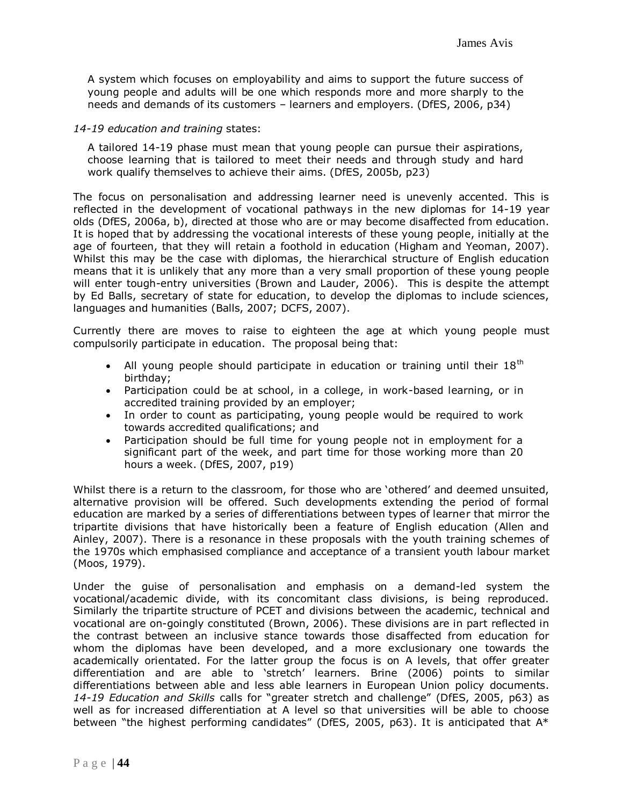A system which focuses on employability and aims to support the future success of young people and adults will be one which responds more and more sharply to the needs and demands of its customers – learners and employers. (DfES, 2006, p34)

#### *14-19 education and training* states:

A tailored 14-19 phase must mean that young people can pursue their aspirations, choose learning that is tailored to meet their needs and through study and hard work qualify themselves to achieve their aims. (DfES, 2005b, p23)

The focus on personalisation and addressing learner need is unevenly accented. This is reflected in the development of vocational pathways in the new diplomas for 14-19 year olds (DfES, 2006a, b), directed at those who are or may become disaffected from education. It is hoped that by addressing the vocational interests of these young people, initially at the age of fourteen, that they will retain a foothold in education (Higham and Yeoman, 2007). Whilst this may be the case with diplomas, the hierarchical structure of English education means that it is unlikely that any more than a very small proportion of these young people will enter tough-entry universities (Brown and Lauder, 2006). This is despite the attempt by Ed Balls, secretary of state for education, to develop the diplomas to include sciences, languages and humanities (Balls, 2007; DCFS, 2007).

Currently there are moves to raise to eighteen the age at which young people must compulsorily participate in education. The proposal being that:

- All young people should participate in education or training until their  $18<sup>th</sup>$ birthday;
- Participation could be at school, in a college, in work-based learning, or in accredited training provided by an employer;
- In order to count as participating, young people would be required to work towards accredited qualifications; and
- Participation should be full time for young people not in employment for a significant part of the week, and part time for those working more than 20 hours a week. (DfES, 2007, p19)

Whilst there is a return to the classroom, for those who are 'othered' and deemed unsuited, alternative provision will be offered. Such developments extending the period of formal education are marked by a series of differentiations between types of learner that mirror the tripartite divisions that have historically been a feature of English education (Allen and Ainley, 2007). There is a resonance in these proposals with the youth training schemes of the 1970s which emphasised compliance and acceptance of a transient youth labour market (Moos, 1979).

Under the guise of personalisation and emphasis on a demand-led system the vocational/academic divide, with its concomitant class divisions, is being reproduced. Similarly the tripartite structure of PCET and divisions between the academic, technical and vocational are on-goingly constituted (Brown, 2006). These divisions are in part reflected in the contrast between an inclusive stance towards those disaffected from education for whom the diplomas have been developed, and a more exclusionary one towards the academically orientated. For the latter group the focus is on A levels, that offer greater differentiation and are able to "stretch" learners. Brine (2006) points to similar differentiations between able and less able learners in European Union policy documents. *14-19 Education and Skills* calls for "greater stretch and challenge" (DfES, 2005, p63) as well as for increased differentiation at A level so that universities will be able to choose between "the highest performing candidates" (DfES, 2005, p63). It is anticipated that A\*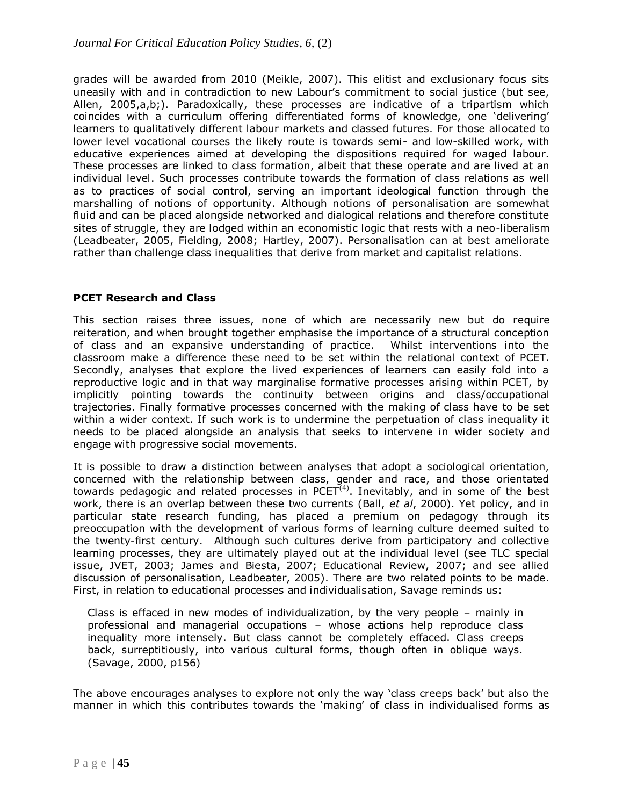grades will be awarded from 2010 (Meikle, 2007). This elitist and exclusionary focus sits uneasily with and in contradiction to new Labour"s commitment to social justice (but see, Allen, 2005,a,b;). Paradoxically, these processes are indicative of a tripartism which coincides with a curriculum offering differentiated forms of knowledge, one "delivering" learners to qualitatively different labour markets and classed futures. For those allocated to lower level vocational courses the likely route is towards semi- and low-skilled work, with educative experiences aimed at developing the dispositions required for waged labour. These processes are linked to class formation, albeit that these operate and are lived at an individual level. Such processes contribute towards the formation of class relations as well as to practices of social control, serving an important ideological function through the marshalling of notions of opportunity. Although notions of personalisation are somewhat fluid and can be placed alongside networked and dialogical relations and therefore constitute sites of struggle, they are lodged within an economistic logic that rests with a neo-liberalism (Leadbeater, 2005, Fielding, 2008; Hartley, 2007). Personalisation can at best ameliorate rather than challenge class inequalities that derive from market and capitalist relations.

## **PCET Research and Class**

This section raises three issues, none of which are necessarily new but do require reiteration, and when brought together emphasise the importance of a structural conception of class and an expansive understanding of practice. Whilst interventions into the classroom make a difference these need to be set within the relational context of PCET. Secondly, analyses that explore the lived experiences of learners can easily fold into a reproductive logic and in that way marginalise formative processes arising within PCET, by implicitly pointing towards the continuity between origins and class/occupational trajectories. Finally formative processes concerned with the making of class have to be set within a wider context. If such work is to undermine the perpetuation of class inequality it needs to be placed alongside an analysis that seeks to intervene in wider society and engage with progressive social movements.

It is possible to draw a distinction between analyses that adopt a sociological orientation, concerned with the relationship between class, gender and race, and those orientated towards pedagogic and related processes in PCET $^{(4)}$ . Inevitably, and in some of the best work, there is an overlap between these two currents (Ball, *et al*, 2000). Yet policy, and in particular state research funding, has placed a premium on pedagogy through its preoccupation with the development of various forms of learning culture deemed suited to the twenty-first century. Although such cultures derive from participatory and collective learning processes, they are ultimately played out at the individual level (see TLC special issue, JVET, 2003; James and Biesta, 2007; Educational Review, 2007; and see allied discussion of personalisation, Leadbeater, 2005). There are two related points to be made. First, in relation to educational processes and individualisation, Savage reminds us:

Class is effaced in new modes of individualization, by the very people – mainly in professional and managerial occupations – whose actions help reproduce class inequality more intensely. But class cannot be completely effaced. Class creeps back, surreptitiously, into various cultural forms, though often in oblique ways. (Savage, 2000, p156)

The above encourages analyses to explore not only the way "class creeps back" but also the manner in which this contributes towards the "making" of class in individualised forms as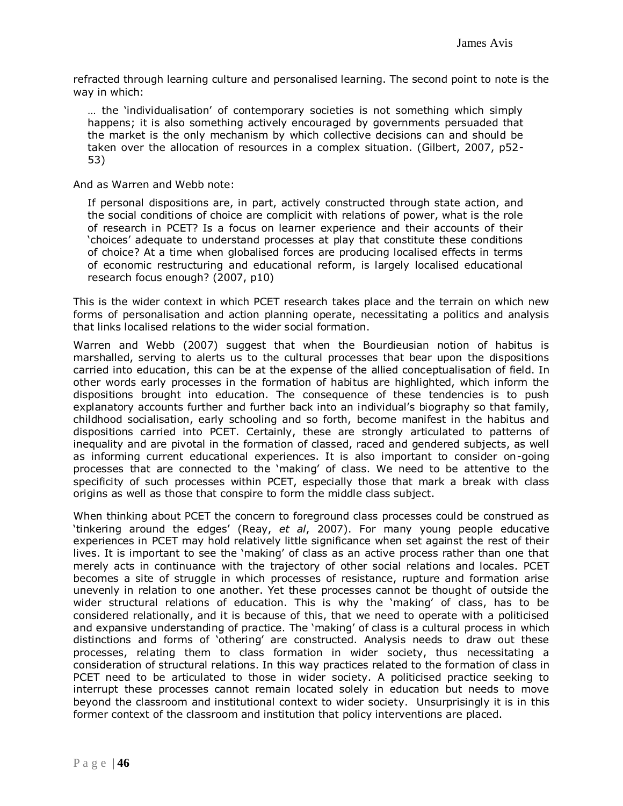refracted through learning culture and personalised learning. The second point to note is the way in which:

… the "individualisation" of contemporary societies is not something which simply happens; it is also something actively encouraged by governments persuaded that the market is the only mechanism by which collective decisions can and should be taken over the allocation of resources in a complex situation. (Gilbert, 2007, p52- 53)

And as Warren and Webb note:

If personal dispositions are, in part, actively constructed through state action, and the social conditions of choice are complicit with relations of power, what is the role of research in PCET? Is a focus on learner experience and their accounts of their "choices" adequate to understand processes at play that constitute these conditions of choice? At a time when globalised forces are producing localised effects in terms of economic restructuring and educational reform, is largely localised educational research focus enough? (2007, p10)

This is the wider context in which PCET research takes place and the terrain on which new forms of personalisation and action planning operate, necessitating a politics and analysis that links localised relations to the wider social formation.

Warren and Webb (2007) suggest that when the Bourdieusian notion of habitus is marshalled, serving to alerts us to the cultural processes that bear upon the dispositions carried into education, this can be at the expense of the allied conceptualisation of field. In other words early processes in the formation of habitus are highlighted, which inform the dispositions brought into education. The consequence of these tendencies is to push explanatory accounts further and further back into an individual's biography so that family, childhood socialisation, early schooling and so forth, become manifest in the habitus and dispositions carried into PCET. Certainly, these are strongly articulated to patterns of inequality and are pivotal in the formation of classed, raced and gendered subjects, as well as informing current educational experiences. It is also important to consider on-going processes that are connected to the "making" of class. We need to be attentive to the specificity of such processes within PCET, especially those that mark a break with class origins as well as those that conspire to form the middle class subject.

When thinking about PCET the concern to foreground class processes could be construed as "tinkering around the edges" (Reay, *et al*, 2007). For many young people educative experiences in PCET may hold relatively little significance when set against the rest of their lives. It is important to see the 'making' of class as an active process rather than one that merely acts in continuance with the trajectory of other social relations and locales. PCET becomes a site of struggle in which processes of resistance, rupture and formation arise unevenly in relation to one another. Yet these processes cannot be thought of outside the wider structural relations of education. This is why the 'making' of class, has to be considered relationally, and it is because of this, that we need to operate with a politicised and expansive understanding of practice. The "making" of class is a cultural process in which distinctions and forms of "othering" are constructed. Analysis needs to draw out these processes, relating them to class formation in wider society, thus necessitating a consideration of structural relations. In this way practices related to the formation of class in PCET need to be articulated to those in wider society. A politicised practice seeking to interrupt these processes cannot remain located solely in education but needs to move beyond the classroom and institutional context to wider society. Unsurprisingly it is in this former context of the classroom and institution that policy interventions are placed.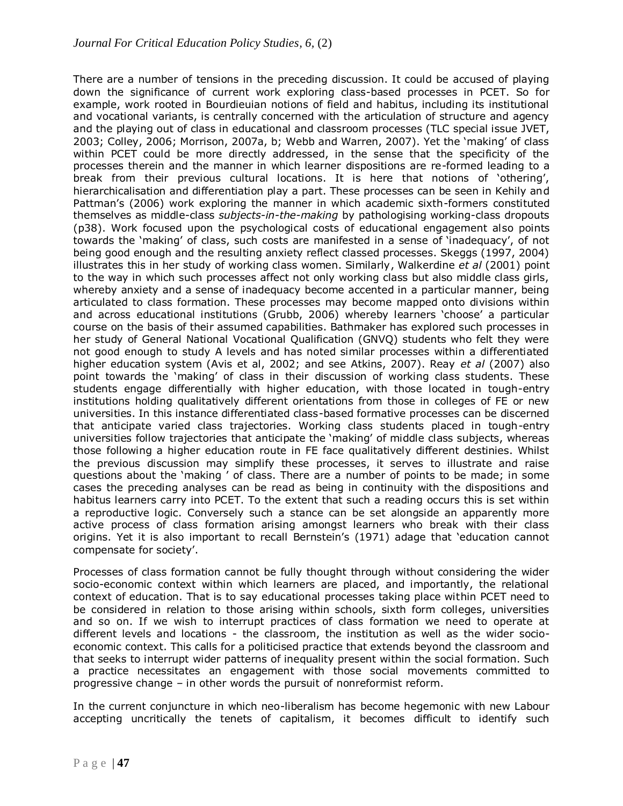There are a number of tensions in the preceding discussion. It could be accused of playing down the significance of current work exploring class-based processes in PCET. So for example, work rooted in Bourdieuian notions of field and habitus, including its institutional and vocational variants, is centrally concerned with the articulation of structure and agency and the playing out of class in educational and classroom processes (TLC special issue JVET, 2003; Colley, 2006; Morrison, 2007a, b; Webb and Warren, 2007). Yet the "making" of class within PCET could be more directly addressed, in the sense that the specificity of the processes therein and the manner in which learner dispositions are re-formed leading to a break from their previous cultural locations. It is here that notions of "othering", hierarchicalisation and differentiation play a part. These processes can be seen in Kehily and Pattman"s (2006) work exploring the manner in which academic sixth-formers constituted themselves as middle-class *subjects-in-the-making* by pathologising working-class dropouts (p38). Work focused upon the psychological costs of educational engagement also points towards the "making" of class, such costs are manifested in a sense of "inadequacy", of not being good enough and the resulting anxiety reflect classed processes. Skeggs (1997, 2004) illustrates this in her study of working class women. Similarly, Walkerdine *et al* (2001) point to the way in which such processes affect not only working class but also middle class girls, whereby anxiety and a sense of inadequacy become accented in a particular manner, being articulated to class formation. These processes may become mapped onto divisions within and across educational institutions (Grubb, 2006) whereby learners "choose" a particular course on the basis of their assumed capabilities. Bathmaker has explored such processes in her study of General National Vocational Qualification (GNVQ) students who felt they were not good enough to study A levels and has noted similar processes within a differentiated higher education system (Avis et al, 2002; and see Atkins, 2007). Reay *et al* (2007) also point towards the 'making' of class in their discussion of working class students. These students engage differentially with higher education, with those located in tough-entry institutions holding qualitatively different orientations from those in colleges of FE or new universities. In this instance differentiated class-based formative processes can be discerned that anticipate varied class trajectories. Working class students placed in tough-entry universities follow trajectories that anticipate the "making" of middle class subjects, whereas those following a higher education route in FE face qualitatively different destinies. Whilst the previous discussion may simplify these processes, it serves to illustrate and raise questions about the 'making' of class. There are a number of points to be made; in some cases the preceding analyses can be read as being in continuity with the dispositions and habitus learners carry into PCET. To the extent that such a reading occurs this is set within a reproductive logic. Conversely such a stance can be set alongside an apparently more active process of class formation arising amongst learners who break with their class origins. Yet it is also important to recall Bernstein"s (1971) adage that "education cannot compensate for society'.

Processes of class formation cannot be fully thought through without considering the wider socio-economic context within which learners are placed, and importantly, the relational context of education. That is to say educational processes taking place within PCET need to be considered in relation to those arising within schools, sixth form colleges, universities and so on. If we wish to interrupt practices of class formation we need to operate at different levels and locations - the classroom, the institution as well as the wider socioeconomic context. This calls for a politicised practice that extends beyond the classroom and that seeks to interrupt wider patterns of inequality present within the social formation. Such a practice necessitates an engagement with those social movements committed to progressive change – in other words the pursuit of nonreformist reform.

In the current conjuncture in which neo-liberalism has become hegemonic with new Labour accepting uncritically the tenets of capitalism, it becomes difficult to identify such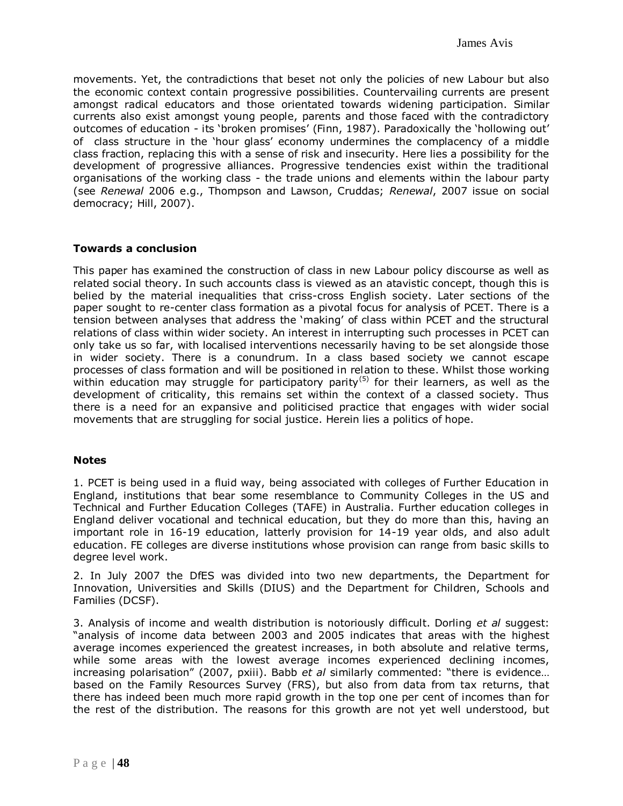movements. Yet, the contradictions that beset not only the policies of new Labour but also the economic context contain progressive possibilities. Countervailing currents are present amongst radical educators and those orientated towards widening participation. Similar currents also exist amongst young people, parents and those faced with the contradictory outcomes of education - its 'broken promises' (Finn, 1987). Paradoxically the 'hollowing out' of class structure in the "hour glass" economy undermines the complacency of a middle class fraction, replacing this with a sense of risk and insecurity. Here lies a possibility for the development of progressive alliances. Progressive tendencies exist within the traditional organisations of the working class - the trade unions and elements within the labour party (see *Renewal* 2006 e.g., Thompson and Lawson, Cruddas; *Renewal*, 2007 issue on social democracy; Hill, 2007).

### **Towards a conclusion**

This paper has examined the construction of class in new Labour policy discourse as well as related social theory. In such accounts class is viewed as an atavistic concept, though this is belied by the material inequalities that criss-cross English society. Later sections of the paper sought to re-center class formation as a pivotal focus for analysis of PCET. There is a tension between analyses that address the "making" of class within PCET and the structural relations of class within wider society. An interest in interrupting such processes in PCET can only take us so far, with localised interventions necessarily having to be set alongside those in wider society. There is a conundrum. In a class based society we cannot escape processes of class formation and will be positioned in relation to these. Whilst those working within education may struggle for participatory parity<sup>(5)</sup> for their learners, as well as the development of criticality, this remains set within the context of a classed society. Thus there is a need for an expansive and politicised practice that engages with wider social movements that are struggling for social justice. Herein lies a politics of hope.

### **Notes**

1. PCET is being used in a fluid way, being associated with colleges of Further Education in England, institutions that bear some resemblance to Community Colleges in the US and Technical and Further Education Colleges (TAFE) in Australia. Further education colleges in England deliver vocational and technical education, but they do more than this, having an important role in 16-19 education, latterly provision for 14-19 year olds, and also adult education. FE colleges are diverse institutions whose provision can range from basic skills to degree level work.

2. In July 2007 the DfES was divided into two new departments, the Department for Innovation, Universities and Skills (DIUS) and the Department for Children, Schools and Families (DCSF).

3. Analysis of income and wealth distribution is notoriously difficult. Dorling *et al* suggest: "analysis of income data between 2003 and 2005 indicates that areas with the highest average incomes experienced the greatest increases, in both absolute and relative terms, while some areas with the lowest average incomes experienced declining incomes, increasing polarisation" (2007, pxiii). Babb *et al* similarly commented: "there is evidence… based on the Family Resources Survey (FRS), but also from data from tax returns, that there has indeed been much more rapid growth in the top one per cent of incomes than for the rest of the distribution. The reasons for this growth are not yet well understood, but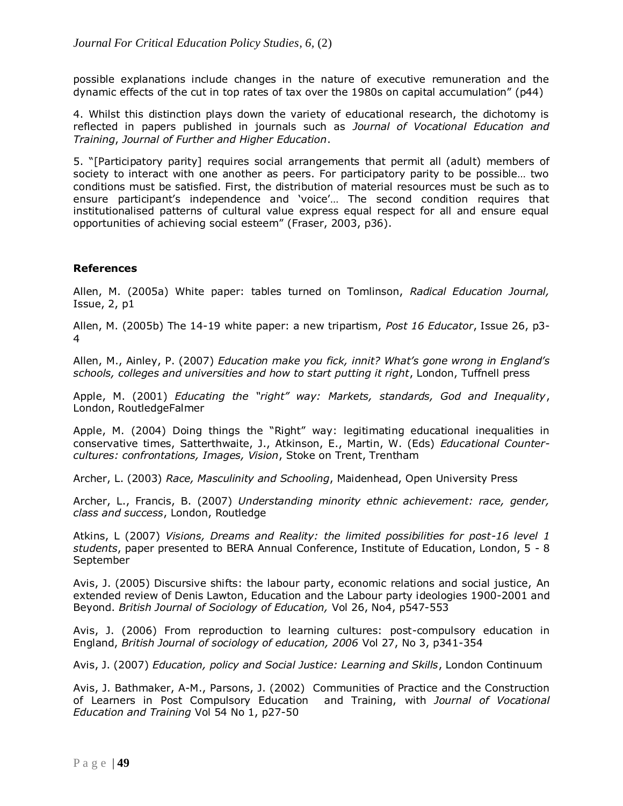possible explanations include changes in the nature of executive remuneration and the dynamic effects of the cut in top rates of tax over the 1980s on capital accumulation" (p44)

4. Whilst this distinction plays down the variety of educational research, the dichotomy is reflected in papers published in journals such as *Journal of Vocational Education and Training*, *Journal of Further and Higher Education*.

5. "[Participatory parity] requires social arrangements that permit all (adult) members of society to interact with one another as peers. For participatory parity to be possible… two conditions must be satisfied. First, the distribution of material resources must be such as to ensure participant's independence and 'voice'... The second condition requires that institutionalised patterns of cultural value express equal respect for all and ensure equal opportunities of achieving social esteem" (Fraser, 2003, p36).

## **References**

Allen, M. (2005a) White paper: tables turned on Tomlinson, *Radical Education Journal,*  Issue, 2, p1

Allen, M. (2005b) The 14-19 white paper: a new tripartism, *Post 16 Educator*, Issue 26, p3- 4

Allen, M., Ainley, P. (2007) *Education make you fick, innit? What's gone wrong in England's schools, colleges and universities and how to start putting it right*, London, Tuffnell press

Apple, M. (2001) *Educating the "right" way: Markets, standards, God and Inequality*, London, RoutledgeFalmer

Apple, M. (2004) Doing things the "Right" way: legitimating educational inequalities in conservative times, Satterthwaite, J., Atkinson, E., Martin, W. (Eds) *Educational Countercultures: confrontations, Images, Vision*, Stoke on Trent, Trentham

Archer, L. (2003) *Race, Masculinity and Schooling*, Maidenhead, Open University Press

Archer, L., Francis, B. (2007) *Understanding minority ethnic achievement: race, gender, class and success*, London, Routledge

Atkins, L (2007) *Visions, Dreams and Reality: the limited possibilities for post-16 level 1 students*, paper presented to BERA Annual Conference, Institute of Education, London, 5 - 8 September

Avis, J. (2005) Discursive shifts: the labour party, economic relations and social justice, An extended review of Denis Lawton, Education and the Labour party ideologies 1900-2001 and Beyond. *British Journal of Sociology of Education,* Vol 26, No4, p547-553

Avis, J. (2006) From reproduction to learning cultures: post-compulsory education in England, *British Journal of sociology of education, 2006* Vol 27, No 3, p341-354

Avis, J. (2007) *Education, policy and Social Justice: Learning and Skills*, London Continuum

Avis, J. Bathmaker, A-M., Parsons, J. (2002) Communities of Practice and the Construction of Learners in Post Compulsory Education and Training, with *Journal of Vocational Education and Training* Vol 54 No 1, p27-50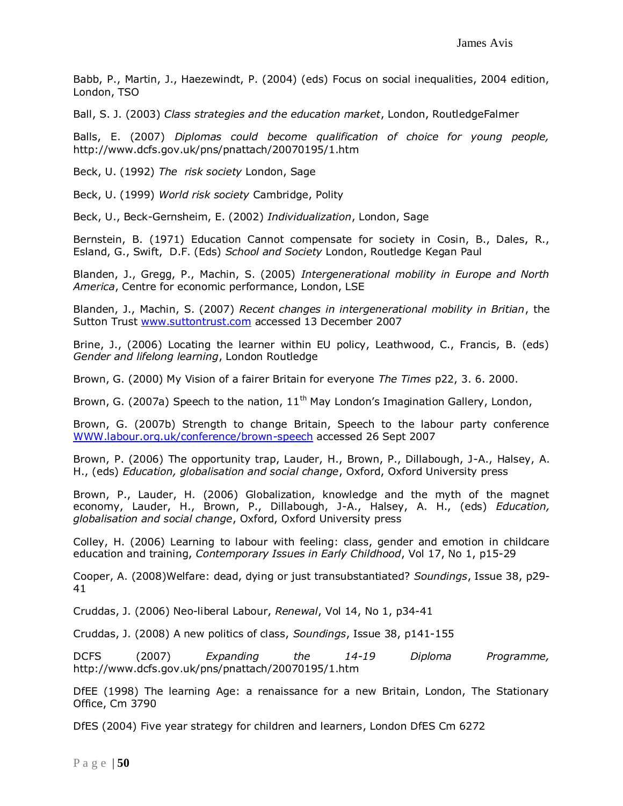Babb, P., Martin, J., Haezewindt, P. (2004) (eds) Focus on social inequalities, 2004 edition, London, TSO

Ball, S. J. (2003) *Class strategies and the education market*, London, RoutledgeFalmer

Balls, E. (2007) *Diplomas could become qualification of choice for young people,*  http://www.dcfs.gov.uk/pns/pnattach/20070195/1.htm

Beck, U. (1992) *The risk society* London, Sage

Beck, U. (1999) *World risk society* Cambridge, Polity

Beck, U., Beck-Gernsheim, E. (2002) *Individualization*, London, Sage

Bernstein, B. (1971) Education Cannot compensate for society in Cosin, B., Dales, R., Esland, G., Swift, D.F. (Eds) *School and Society* London, Routledge Kegan Paul

Blanden, J., Gregg, P., Machin, S. (2005) *Intergenerational mobility in Europe and North America*, Centre for economic performance, London, LSE

Blanden, J., Machin, S. (2007) *Recent changes in intergenerational mobility in Britian*, the Sutton Trust [www.suttontrust.com](http://www.suttontrust.com/) accessed 13 December 2007

Brine, J., (2006) Locating the learner within EU policy, Leathwood, C., Francis, B. (eds) *Gender and lifelong learning*, London Routledge

Brown, G. (2000) My Vision of a fairer Britain for everyone *The Times* p22, 3. 6. 2000.

Brown, G. (2007a) Speech to the nation,  $11<sup>th</sup>$  May London's Imagination Gallery, London,

Brown, G. (2007b) Strength to change Britain, Speech to the labour party conference [WWW.labour.org.uk/conference/brown-speech](http://www.labour.org.uk/conference/brown-speech) accessed 26 Sept 2007

Brown, P. (2006) The opportunity trap, Lauder, H., Brown, P., Dillabough, J-A., Halsey, A. H., (eds) *Education, globalisation and social change*, Oxford, Oxford University press

Brown, P., Lauder, H. (2006) Globalization, knowledge and the myth of the magnet economy, Lauder, H., Brown, P., Dillabough, J-A., Halsey, A. H., (eds) *Education, globalisation and social change*, Oxford, Oxford University press

Colley, H. (2006) Learning to labour with feeling: class, gender and emotion in childcare education and training, *Contemporary Issues in Early Childhood*, Vol 17, No 1, p15-29

Cooper, A. (2008)Welfare: dead, dying or just transubstantiated? *Soundings*, Issue 38, p29- 41

Cruddas, J. (2006) Neo-liberal Labour, *Renewal*, Vol 14, No 1, p34-41

Cruddas, J. (2008) A new politics of class, *Soundings*, Issue 38, p141-155

DCFS (2007) *Expanding the 14-19 Diploma Programme,*  http://www.dcfs.gov.uk/pns/pnattach/20070195/1.htm

DfEE (1998) The learning Age: a renaissance for a new Britain, London, The Stationary Office, Cm 3790

DfES (2004) Five year strategy for children and learners, London DfES Cm 6272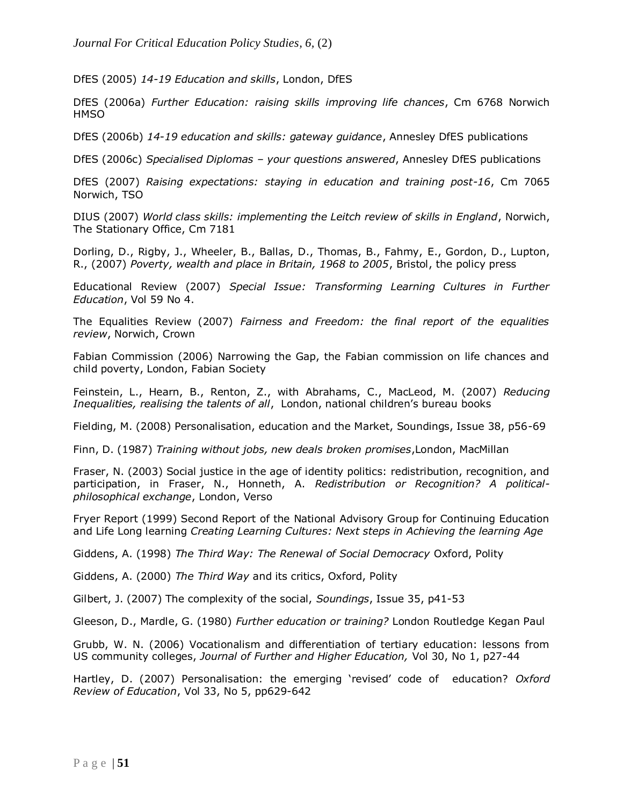DfES (2005) *14-19 Education and skills*, London, DfES

DfES (2006a) *Further Education: raising skills improving life chances*, Cm 6768 Norwich **HMSO** 

DfES (2006b) *14-19 education and skills: gateway guidance*, Annesley DfES publications

DfES (2006c) *Specialised Diplomas – your questions answered*, Annesley DfES publications

DfES (2007) *Raising expectations: staying in education and training post-16*, Cm 7065 Norwich, TSO

DIUS (2007) *World class skills: implementing the Leitch review of skills in England*, Norwich, The Stationary Office, Cm 7181

Dorling, D., Rigby, J., Wheeler, B., Ballas, D., Thomas, B., Fahmy, E., Gordon, D., Lupton, R., (2007) *Poverty, wealth and place in Britain, 1968 to 2005*, Bristol, the policy press

Educational Review (2007) *Special Issue: Transforming Learning Cultures in Further Education*, Vol 59 No 4.

The Equalities Review (2007) *Fairness and Freedom: the final report of the equalities review*, Norwich, Crown

Fabian Commission (2006) Narrowing the Gap, the Fabian commission on life chances and child poverty, London, Fabian Society

Feinstein, L., Hearn, B., Renton, Z., with Abrahams, C., MacLeod, M. (2007) *Reducing Inequalities, realising the talents of all*, London, national children"s bureau books

Fielding, M. (2008) Personalisation, education and the Market, Soundings, Issue 38, p56-69

Finn, D. (1987) *Training without jobs, new deals broken promises*,London, MacMillan

Fraser, N. (2003) Social justice in the age of identity politics: redistribution, recognition, and participation, in Fraser, N., Honneth, A. *Redistribution or Recognition? A politicalphilosophical exchange*, London, Verso

Fryer Report (1999) Second Report of the National Advisory Group for Continuing Education and Life Long learning *Creating Learning Cultures: Next steps in Achieving the learning Age*

Giddens, A. (1998) *The Third Way: The Renewal of Social Democracy* Oxford, Polity

Giddens, A. (2000) *The Third Way* and its critics, Oxford, Polity

Gilbert, J. (2007) The complexity of the social, *Soundings*, Issue 35, p41-53

Gleeson, D., Mardle, G. (1980) *Further education or training?* London Routledge Kegan Paul

Grubb, W. N. (2006) Vocationalism and differentiation of tertiary education: lessons from US community colleges, *Journal of Further and Higher Education,* Vol 30, No 1, p27-44

Hartley, D. (2007) Personalisation: the emerging "revised" code of education? *Oxford Review of Education*, Vol 33, No 5, pp629-642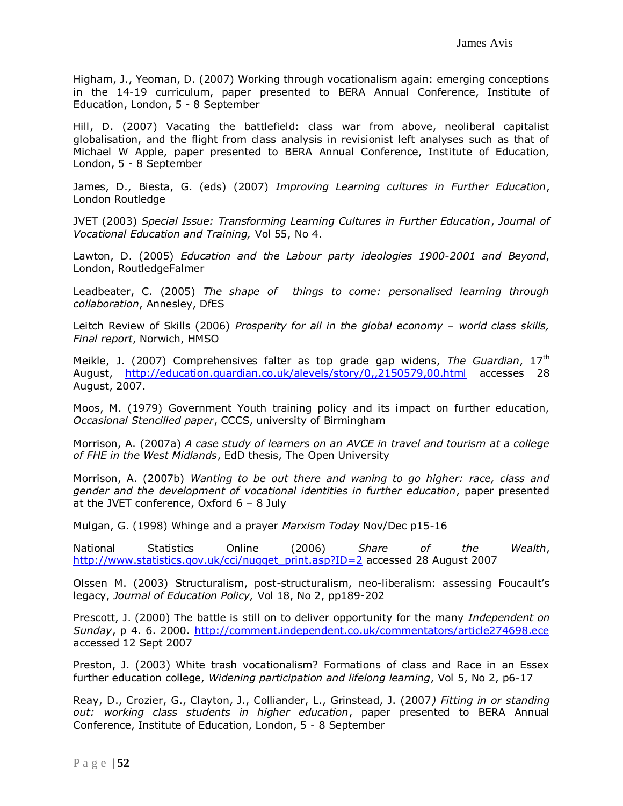Higham, J., Yeoman, D. (2007) Working through vocationalism again: emerging conceptions in the 14-19 curriculum, paper presented to BERA Annual Conference, Institute of Education, London, 5 - 8 September

Hill, D. (2007) Vacating the battlefield: class war from above, neoliberal capitalist globalisation, and the flight from class analysis in revisionist left analyses such as that of Michael W Apple, paper presented to BERA Annual Conference, Institute of Education, London, 5 - 8 September

James, D., Biesta, G. (eds) (2007) *Improving Learning cultures in Further Education*, London Routledge

JVET (2003) *Special Issue: Transforming Learning Cultures in Further Education*, *Journal of Vocational Education and Training,* Vol 55, No 4.

Lawton, D. (2005) *Education and the Labour party ideologies 1900-2001 and Beyond*, London, RoutledgeFalmer

Leadbeater, C. (2005) *The shape of things to come: personalised learning through collaboration*, Annesley, DfES

Leitch Review of Skills (2006) *Prosperity for all in the global economy - world class skills, Final report*, Norwich, HMSO

Meikle, J. (2007) Comprehensives falter as top grade gap widens, *The Guardian*, 17th August, <http://education.guardian.co.uk/alevels/story/0,,2150579,00.html> accesses 28 August, 2007.

Moos, M. (1979) Government Youth training policy and its impact on further education, *Occasional Stencilled paper*, CCCS, university of Birmingham

Morrison, A. (2007a) *A case study of learners on an AVCE in travel and tourism at a college of FHE in the West Midlands*, EdD thesis, The Open University

Morrison, A. (2007b) *Wanting to be out there and waning to go higher: race, class and gender and the development of vocational identities in further education*, paper presented at the JVET conference, Oxford 6 – 8 July

Mulgan, G. (1998) Whinge and a prayer *Marxism Today* Nov/Dec p15-16

National Statistics Online (2006) *Share of the Wealth*, [http://www.statistics.gov.uk/cci/nugget\\_print.asp?ID=2](http://www.statistics.gov.uk/cci/nugget_print.asp?ID=2) accessed 28 August 2007

Olssen M. (2003) Structuralism, post-structuralism, neo-liberalism: assessing Foucault"s legacy, *Journal of Education Policy,* Vol 18, No 2, pp189-202

Prescott, J. (2000) The battle is still on to deliver opportunity for the many *Independent on Sunday*, p 4. 6. 2000. [http://comment.independent.co.uk/commentators/article274698.ece](https://mail.hud.ac.uk/exchweb/bin/redir.asp?URL=http://comment.independent.co.uk/commentators/article274698.ece) accessed 12 Sept 2007

Preston, J. (2003) White trash vocationalism? Formations of class and Race in an Essex further education college, *Widening participation and lifelong learning*, Vol 5, No 2, p6-17

Reay, D., Crozier, G., Clayton, J., Colliander, L., Grinstead, J. (2007*) Fitting in or standing out: working class students in higher education*, paper presented to BERA Annual Conference, Institute of Education, London, 5 - 8 September